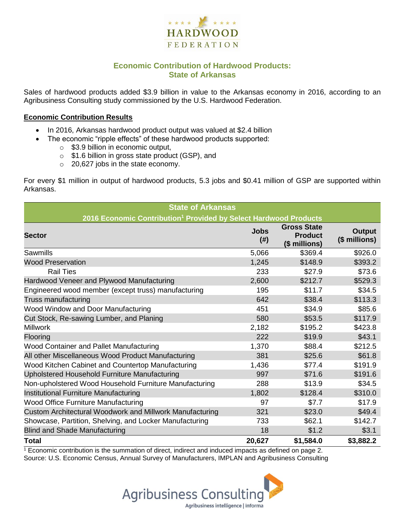

# **Economic Contribution of Hardwood Products: State of Arkansas**

Sales of hardwood products added \$3.9 billion in value to the Arkansas economy in 2016, according to an Agribusiness Consulting study commissioned by the U.S. Hardwood Federation.

#### **Economic Contribution Results**

- In 2016, Arkansas hardwood product output was valued at \$2.4 billion
	- The economic "ripple effects" of these hardwood products supported:
		- o \$3.9 billion in economic output,
		- o \$1.6 billion in gross state product (GSP), and
		- o 20,627 jobs in the state economy.

For every \$1 million in output of hardwood products, 5.3 jobs and \$0.41 million of GSP are supported within Arkansas.

| <b>State of Arkansas</b>                                                     |                     |                                                       |                                |  |  |  |
|------------------------------------------------------------------------------|---------------------|-------------------------------------------------------|--------------------------------|--|--|--|
| 2016 Economic Contribution <sup>1</sup> Provided by Select Hardwood Products |                     |                                                       |                                |  |  |  |
| <b>Sector</b>                                                                | <b>Jobs</b><br>(# ) | <b>Gross State</b><br><b>Product</b><br>(\$ millions) | <b>Output</b><br>(\$ millions) |  |  |  |
| Sawmills                                                                     | 5,066               | \$369.4                                               | \$926.0                        |  |  |  |
| <b>Wood Preservation</b>                                                     | 1,245               | \$148.9                                               | \$393.2                        |  |  |  |
| <b>Rail Ties</b>                                                             | 233                 | \$27.9                                                | \$73.6                         |  |  |  |
| Hardwood Veneer and Plywood Manufacturing                                    | 2,600               | \$212.7                                               | \$529.3                        |  |  |  |
| Engineered wood member (except truss) manufacturing                          | 195                 | \$11.7                                                | \$34.5                         |  |  |  |
| Truss manufacturing                                                          | 642                 | \$38.4                                                | \$113.3                        |  |  |  |
| Wood Window and Door Manufacturing                                           | 451                 | \$34.9                                                | \$85.6                         |  |  |  |
| Cut Stock, Re-sawing Lumber, and Planing                                     | 580                 | \$53.5                                                | \$117.9                        |  |  |  |
| <b>Millwork</b>                                                              | 2,182               | \$195.2                                               | \$423.8                        |  |  |  |
| Flooring                                                                     | 222                 | \$19.9                                                | \$43.1                         |  |  |  |
| Wood Container and Pallet Manufacturing                                      | 1,370               | \$88.4                                                | \$212.5                        |  |  |  |
| All other Miscellaneous Wood Product Manufacturing                           | 381                 | \$25.6                                                | \$61.8                         |  |  |  |
| Wood Kitchen Cabinet and Countertop Manufacturing                            | 1,436               | \$77.4                                                | \$191.9                        |  |  |  |
| Upholstered Household Furniture Manufacturing                                | 997                 | \$71.6                                                | \$191.6                        |  |  |  |
| Non-upholstered Wood Household Furniture Manufacturing                       | 288                 | \$13.9                                                | \$34.5                         |  |  |  |
| Institutional Furniture Manufacturing                                        | 1,802               | \$128.4                                               | \$310.0                        |  |  |  |
| Wood Office Furniture Manufacturing                                          | 97                  | \$7.7                                                 | \$17.9                         |  |  |  |
| Custom Architectural Woodwork and Millwork Manufacturing                     | 321                 | \$23.0                                                | \$49.4                         |  |  |  |
| Showcase, Partition, Shelving, and Locker Manufacturing                      | 733                 | \$62.1                                                | \$142.7                        |  |  |  |
| <b>Blind and Shade Manufacturing</b>                                         | 18                  | \$1.2                                                 | \$3.1                          |  |  |  |
| <b>Total</b>                                                                 | 20,627              | \$1,584.0                                             | \$3,882.2                      |  |  |  |

 $1$  Economic contribution is the summation of direct, indirect and induced impacts as defined on page 2. Source: U.S. Economic Census, Annual Survey of Manufacturers, IMPLAN and Agribusiness Consulting